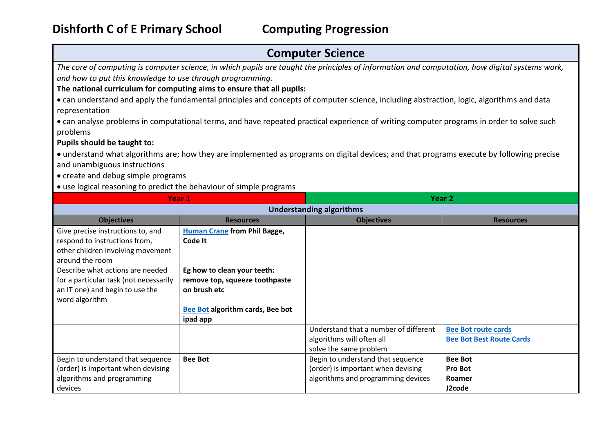## **Computer Science**

*The core of computing is computer science, in which pupils are taught the principles of information and computation, how digital systems work, and how to put this knowledge to use through programming.* 

## **The national curriculum for computing aims to ensure that all pupils:**

 can understand and apply the fundamental principles and concepts of computer science, including abstraction, logic, algorithms and data representation

 can analyse problems in computational terms, and have repeated practical experience of writing computer programs in order to solve such problems

**Pupils should be taught to:** 

 understand what algorithms are; how they are implemented as programs on digital devices; and that programs execute by following precise and unambiguous instructions

• create and debug simple programs

use logical reasoning to predict the behaviour of simple programs

| Year 1                                 |                                     | Year <sub>2</sub>                     |                                 |  |  |
|----------------------------------------|-------------------------------------|---------------------------------------|---------------------------------|--|--|
| <b>Understanding algorithms</b>        |                                     |                                       |                                 |  |  |
| <b>Objectives</b>                      | <b>Resources</b>                    | <b>Objectives</b>                     | <b>Resources</b>                |  |  |
| Give precise instructions to, and      | <b>Human Crane from Phil Bagge,</b> |                                       |                                 |  |  |
| respond to instructions from,          | Code It                             |                                       |                                 |  |  |
| other children involving movement      |                                     |                                       |                                 |  |  |
| around the room                        |                                     |                                       |                                 |  |  |
| Describe what actions are needed       | Eg how to clean your teeth:         |                                       |                                 |  |  |
| for a particular task (not necessarily | remove top, squeeze toothpaste      |                                       |                                 |  |  |
| an IT one) and begin to use the        | on brush etc                        |                                       |                                 |  |  |
| word algorithm                         |                                     |                                       |                                 |  |  |
|                                        | Bee Bot algorithm cards, Bee bot    |                                       |                                 |  |  |
|                                        | ipad app                            |                                       |                                 |  |  |
|                                        |                                     | Understand that a number of different | <b>Bee Bot route cards</b>      |  |  |
|                                        |                                     | algorithms will often all             | <b>Bee Bot Best Route Cards</b> |  |  |
|                                        |                                     | solve the same problem                |                                 |  |  |
| Begin to understand that sequence      | <b>Bee Bot</b>                      | Begin to understand that sequence     | <b>Bee Bot</b>                  |  |  |
| (order) is important when devising     |                                     | (order) is important when devising    | <b>Pro Bot</b>                  |  |  |
| algorithms and programming             |                                     | algorithms and programming devices    | Roamer                          |  |  |
| devices                                |                                     |                                       | J2code                          |  |  |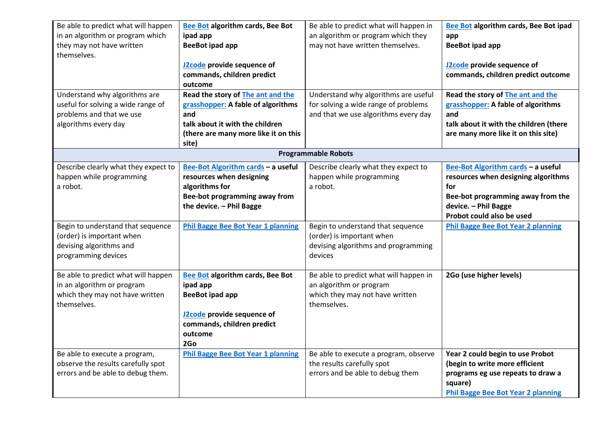| Be able to predict what will happen  | Bee Bot algorithm cards, Bee Bot          | Be able to predict what will happen in | Bee Bot algorithm cards, Bee Bot ipad     |
|--------------------------------------|-------------------------------------------|----------------------------------------|-------------------------------------------|
| in an algorithm or program which     | ipad app                                  | an algorithm or program which they     | app                                       |
| they may not have written            | <b>BeeBot ipad app</b>                    | may not have written themselves.       | <b>BeeBot ipad app</b>                    |
| themselves.                          |                                           |                                        |                                           |
|                                      | J2code provide sequence of                |                                        | J2code provide sequence of                |
|                                      | commands, children predict                |                                        | commands, children predict outcome        |
|                                      | outcome                                   |                                        |                                           |
| Understand why algorithms are        | Read the story of The ant and the         | Understand why algorithms are useful   | Read the story of The ant and the         |
| useful for solving a wide range of   | grasshopper: A fable of algorithms        | for solving a wide range of problems   | grasshopper: A fable of algorithms        |
| problems and that we use             | and                                       | and that we use algorithms every day   | and                                       |
| algorithms every day                 | talk about it with the children           |                                        | talk about it with the children (there    |
|                                      | (there are many more like it on this      |                                        | are many more like it on this site)       |
|                                      | site)                                     |                                        |                                           |
|                                      |                                           | <b>Programmable Robots</b>             |                                           |
| Describe clearly what they expect to | Bee-Bot Algorithm cards - a useful        | Describe clearly what they expect to   | Bee-Bot Algorithm cards - a useful        |
| happen while programming             | resources when designing                  | happen while programming               | resources when designing algorithms       |
| a robot.                             | algorithms for                            | a robot.                               | for                                       |
|                                      | Bee-bot programming away from             |                                        | Bee-bot programming away from the         |
|                                      | the device. - Phil Bagge                  |                                        | device. - Phil Bagge                      |
|                                      |                                           |                                        | Probot could also be used                 |
| Begin to understand that sequence    | <b>Phil Bagge Bee Bot Year 1 planning</b> | Begin to understand that sequence      | <b>Phil Bagge Bee Bot Year 2 planning</b> |
| (order) is important when            |                                           | (order) is important when              |                                           |
| devising algorithms and              |                                           | devising algorithms and programming    |                                           |
| programming devices                  |                                           | devices                                |                                           |
|                                      |                                           |                                        |                                           |
| Be able to predict what will happen  | Bee Bot algorithm cards, Bee Bot          | Be able to predict what will happen in | 2Go (use higher levels)                   |
| in an algorithm or program           | ipad app                                  | an algorithm or program                |                                           |
| which they may not have written      | <b>BeeBot ipad app</b>                    | which they may not have written        |                                           |
| themselves.                          |                                           | themselves.                            |                                           |
|                                      | J2code provide sequence of                |                                        |                                           |
|                                      | commands, children predict                |                                        |                                           |
|                                      | outcome                                   |                                        |                                           |
|                                      | 2Go                                       |                                        |                                           |
| Be able to execute a program,        | <b>Phil Bagge Bee Bot Year 1 planning</b> | Be able to execute a program, observe  | Year 2 could begin to use Probot          |
| observe the results carefully spot   |                                           | the results carefully spot             | (begin to write more efficient            |
| errors and be able to debug them.    |                                           | errors and be able to debug them       | programs eg use repeats to draw a         |
|                                      |                                           |                                        | square)                                   |
|                                      |                                           |                                        | <b>Phil Bagge Bee Bot Year 2 planning</b> |